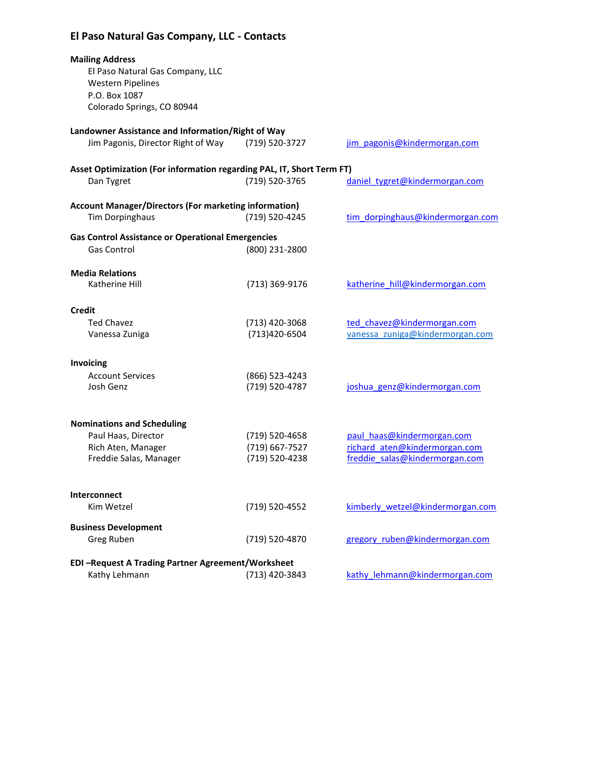# **El Paso Natural Gas Company, LLC - Contacts**

| <b>Mailing Address</b><br>El Paso Natural Gas Company, LLC<br><b>Western Pipelines</b><br>P.O. Box 1087<br>Colorado Springs, CO 80944 |                                  |                                                                 |
|---------------------------------------------------------------------------------------------------------------------------------------|----------------------------------|-----------------------------------------------------------------|
| Landowner Assistance and Information/Right of Way<br>Jim Pagonis, Director Right of Way                                               | (719) 520-3727                   | jim pagonis@kindermorgan.com                                    |
| Asset Optimization (For information regarding PAL, IT, Short Term FT)<br>Dan Tygret                                                   | (719) 520-3765                   | daniel tygret@kindermorgan.com                                  |
| <b>Account Manager/Directors (For marketing information)</b><br><b>Tim Dorpinghaus</b>                                                | (719) 520-4245                   | tim dorpinghaus@kindermorgan.com                                |
| <b>Gas Control Assistance or Operational Emergencies</b><br><b>Gas Control</b>                                                        | (800) 231-2800                   |                                                                 |
| <b>Media Relations</b><br>Katherine Hill                                                                                              | (713) 369-9176                   | katherine hill@kindermorgan.com                                 |
| Credit                                                                                                                                |                                  |                                                                 |
| <b>Ted Chavez</b><br>Vanessa Zuniga                                                                                                   | (713) 420-3068<br>(713) 420-6504 | ted chavez@kindermorgan.com<br>vanessa zuniga@kindermorgan.com  |
| Invoicing                                                                                                                             |                                  |                                                                 |
| <b>Account Services</b><br>Josh Genz                                                                                                  | (866) 523-4243<br>(719) 520-4787 | joshua genz@kindermorgan.com                                    |
| <b>Nominations and Scheduling</b>                                                                                                     |                                  |                                                                 |
| Paul Haas, Director                                                                                                                   | (719) 520-4658                   | paul haas@kindermorgan.com                                      |
| Rich Aten, Manager<br>Freddie Salas, Manager                                                                                          | (719) 667-7527<br>(719) 520-4238 | richard aten@kindermorgan.com<br>freddie salas@kindermorgan.com |
| Interconnect                                                                                                                          |                                  |                                                                 |
| Kim Wetzel                                                                                                                            | (719) 520-4552                   | kimberly wetzel@kindermorgan.com                                |
| <b>Business Development</b><br>Greg Ruben                                                                                             | (719) 520-4870                   | gregory ruben@kindermorgan.com                                  |
| <b>EDI-Request A Trading Partner Agreement/Worksheet</b><br>Kathy Lehmann                                                             | (713) 420-3843                   | kathy lehmann@kindermorgan.com                                  |